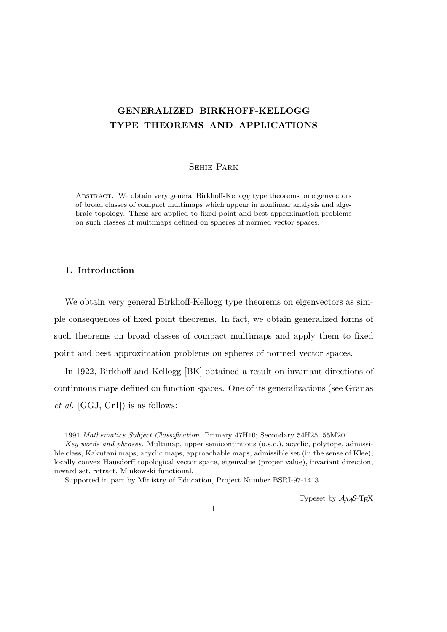# **GENERALIZED BIRKHOFF-KELLOGG TYPE THEOREMS AND APPLICATIONS**

## Sehie Park

Abstract. We obtain very general Birkhoff-Kellogg type theorems on eigenvectors of broad classes of compact multimaps which appear in nonlinear analysis and algebraic topology. These are applied to fixed point and best approximation problems on such classes of multimaps defined on spheres of normed vector spaces.

## **1. Introduction**

We obtain very general Birkhoff-Kellogg type theorems on eigenvectors as simple consequences of fixed point theorems. In fact, we obtain generalized forms of such theorems on broad classes of compact multimaps and apply them to fixed point and best approximation problems on spheres of normed vector spaces.

In 1922, Birkhoff and Kellogg [BK] obtained a result on invariant directions of continuous maps defined on function spaces. One of its generalizations (see Granas *et al*. [GGJ, Gr1]) is as follows:

Typeset by  $A_{\mathcal{M}}S$ -T<sub>E</sub>X

<sup>1991</sup> *Mathematics Subject Classification*. Primary 47H10; Secondary 54H25, 55M20.

*Key words and phrases.* Multimap, upper semicontinuous (u.s.c.), acyclic, polytope, admissible class, Kakutani maps, acyclic maps, approachable maps, admissible set (in the sense of Klee), locally convex Hausdorff topological vector space, eigenvalue (proper value), invariant direction, inward set, retract, Minkowski functional.

Supported in part by Ministry of Education, Project Number BSRI-97-1413.

<sup>1</sup>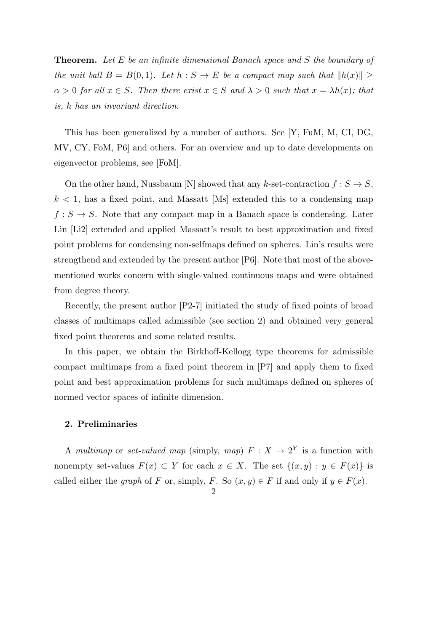**Theorem.** *Let E be an infinite dimensional Banach space and S the boundary of the unit ball*  $B = B(0,1)$ *. Let*  $h : S \to E$  *be a compact map such that*  $||h(x)|| \ge$  $\alpha > 0$  *for all*  $x \in S$ *. Then there exist*  $x \in S$  *and*  $\lambda > 0$  *such that*  $x = \lambda h(x)$ *; that is, h has an invariant direction.*

This has been generalized by a number of authors. See [Y, FuM, M, CI, DG, MV, CY, FoM, P6] and others. For an overview and up to date developments on eigenvector problems, see [FoM].

On the other hand, Nussbaum [N] showed that any *k*-set-contraction  $f : S \to S$ ,  $k < 1$ , has a fixed point, and Massatt [Ms] extended this to a condensing map  $f: S \to S$ . Note that any compact map in a Banach space is condensing. Later Lin [Li2] extended and applied Massatt's result to best approximation and fixed point problems for condensing non-selfmaps defined on spheres. Lin's results were strengthend and extended by the present author [P6]. Note that most of the abovementioned works concern with single-valued continuous maps and were obtained from degree theory.

Recently, the present author [P2-7] initiated the study of fixed points of broad classes of multimaps called admissible (see section 2) and obtained very general fixed point theorems and some related results.

In this paper, we obtain the Birkhoff-Kellogg type theorems for admissible compact multimaps from a fixed point theorem in [P7] and apply them to fixed point and best approximation problems for such multimaps defined on spheres of normed vector spaces of infinite dimension.

# **2. Preliminaries**

A *multimap* or *set-valued map* (simply, *map*)  $F: X \to 2^Y$  is a function with nonempty set-values  $F(x) \subset Y$  for each  $x \in X$ . The set  $\{(x, y) : y \in F(x)\}$  is called either the *graph* of *F* or, simply, *F*. So  $(x, y) \in F$  if and only if  $y \in F(x)$ .

 $\mathfrak{D}$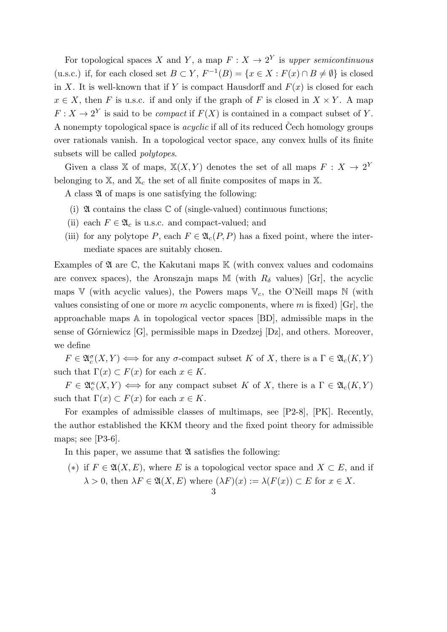For topological spaces *X* and *Y*, a map  $F: X \to 2^Y$  is upper semicontinuous (u.s.c.) if, for each closed set *B* ⊂ *Y*,  $F^{-1}(B) = \{x \in X : F(x) \cap B \neq \emptyset\}$  is closed in *X*. It is well-known that if *Y* is compact Hausdorff and  $F(x)$  is closed for each  $x \in X$ , then *F* is u.s.c. if and only if the graph of *F* is closed in  $X \times Y$ . A map  $F: X \to 2^Y$  is said to be *compact* if  $F(X)$  is contained in a compact subset of *Y*. A nonempty topological space is *acyclic* if all of its reduced Čech homology groups over rationals vanish. In a topological vector space, any convex hulls of its finite subsets will be called *polytopes*.

Given a class X of maps,  $X(X, Y)$  denotes the set of all maps  $F: X \to 2^Y$ belonging to  $X$ , and  $X_c$  the set of all finite composites of maps in  $X$ .

A class  $\mathfrak A$  of maps is one satisfying the following:

- (i)  $\mathfrak A$  contains the class  $\mathbb C$  of (single-valued) continuous functions;
- (ii) each  $F \in \mathfrak{A}_c$  is u.s.c. and compact-valued; and
- (iii) for any polytope *P*, each  $F \in \mathfrak{A}_c(P, P)$  has a fixed point, where the intermediate spaces are suitably chosen.

Examples of  $\mathfrak A$  are  $\mathbb C$ , the Kakutani maps  $\mathbb K$  (with convex values and codomains are convex spaces), the Aronszajn maps  $\mathbb M$  (with  $R_\delta$  values) [Gr], the acyclic maps  $V$  (with acyclic values), the Powers maps  $V_c$ , the O'Neill maps  $N$  (with values consisting of one or more *m* acyclic components, where *m* is fixed) [Gr], the approachable maps A in topological vector spaces [BD], admissible maps in the sense of Górniewicz  $[G]$ , permissible maps in Dzedzej  $[Dz]$ , and others. Moreover, we define

 $F \in \mathfrak{A}_c^{\sigma}(X, Y) \iff \text{for any } \sigma\text{-compact subset } K \text{ of } X, \text{ there is a } \Gamma \in \mathfrak{A}_c(K, Y)$ such that  $\Gamma(x) \subset F(x)$  for each  $x \in K$ .

 $F \in \mathfrak{A}_c^{\kappa}(X, Y) \iff \text{for any compact subset } K \text{ of } X, \text{ there is a } \Gamma \in \mathfrak{A}_c(K, Y)$ such that  $\Gamma(x) \subset F(x)$  for each  $x \in K$ .

For examples of admissible classes of multimaps, see [P2-8], [PK]. Recently, the author established the KKM theory and the fixed point theory for admissible maps; see [P3-6].

In this paper, we assume that  $\mathfrak A$  satisfies the following:

(\*) if  $F \in \mathfrak{A}(X,E)$ , where *E* is a topological vector space and  $X \subset E$ , and if  $\lambda > 0$ , then  $\lambda F \in \mathfrak{A}(X, E)$  where  $(\lambda F)(x) := \lambda(F(x)) \subset E$  for  $x \in X$ .

3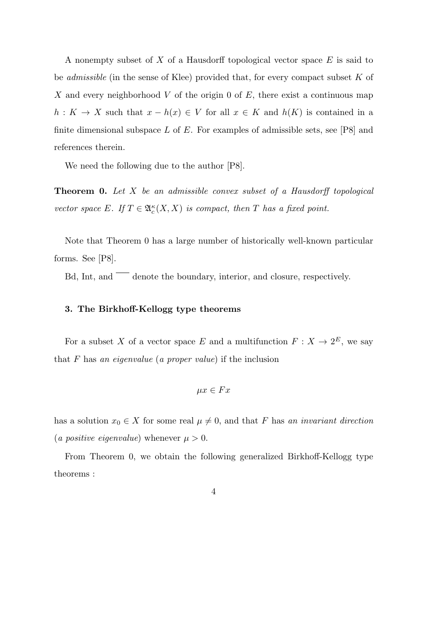A nonempty subset of *X* of a Hausdorff topological vector space *E* is said to be *admissible* (in the sense of Klee) provided that, for every compact subset *K* of *X* and every neighborhood *V* of the origin 0 of *E*, there exist a continuous map *h* :  $K \to X$  such that  $x - h(x) \in V$  for all  $x \in K$  and  $h(K)$  is contained in a finite dimensional subspace *L* of *E*. For examples of admissible sets, see [P8] and references therein.

We need the following due to the author [P8].

**Theorem 0.** *Let X be an admissible convex subset of a Hausdorff topological vector space*  $E$ *. If*  $T \in \mathfrak{A}_{c}^{\kappa}(X, X)$  *is compact, then*  $T$  *has a fixed point.* 

Note that Theorem 0 has a large number of historically well-known particular forms. See [P8].

Bd, Int, and  $\overline{\phantom{a}}$  denote the boundary, interior, and closure, respectively.

#### **3. The Birkhoff-Kellogg type theorems**

For a subset *X* of a vector space *E* and a multifunction  $F: X \to 2^E$ , we say that *F* has *an eigenvalue* (*a proper value*) if the inclusion

$$
\mu x \in Fx
$$

has a solution  $x_0 \in X$  for some real  $\mu \neq 0$ , and that *F* has *an invariant direction* (*a positive eigenvalue*) whenever  $\mu > 0$ .

From Theorem 0, we obtain the following generalized Birkhoff-Kellogg type theorems :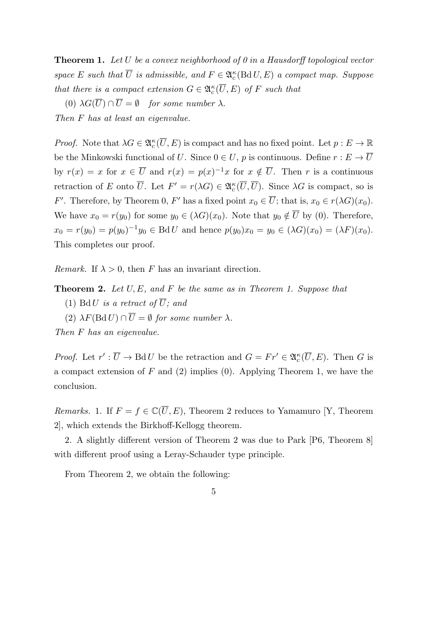**Theorem 1.** *Let U be a convex neighborhood of 0 in a Hausdorff topological vector space E such that*  $\overline{U}$  *is admissible, and*  $F \in \mathfrak{A}_c^{\kappa}(\text{Bd} U, E)$  *a compact map. Suppose that there is a compact extension*  $G \in \mathfrak{A}_{c}^{\kappa}(\overline{U}, E)$  *of F such that* 

(0)  $\lambda G(\overline{U}) \cap \overline{U} = \emptyset$  *for some number*  $\lambda$ .

*Then F has at least an eigenvalue.*

*Proof.* Note that  $\lambda G \in \mathfrak{A}_{c}^{\kappa}(\overline{U}, E)$  is compact and has no fixed point. Let  $p : E \to \mathbb{R}$ be the Minkowski functional of *U*. Since  $0 \in U$ , *p* is continuous. Define  $r : E \to \overline{U}$ by  $r(x) = x$  for  $x \in \overline{U}$  and  $r(x) = p(x)^{-1}x$  for  $x \notin \overline{U}$ . Then *r* is a continuous retraction of *E* onto  $\overline{U}$ . Let  $F' = r(\lambda G) \in \mathfrak{A}_{c}^{\kappa}(\overline{U}, \overline{U})$ . Since  $\lambda G$  is compact, so is *F*<sup>*′*</sup>. Therefore, by Theorem 0, *F*<sup> $\prime$ </sup> has a fixed point  $x_0 \in U$ ; that is,  $x_0 \in r(\lambda G)(x_0)$ . We have  $x_0 = r(y_0)$  for some  $y_0 \in (\lambda G)(x_0)$ . Note that  $y_0 \notin \overline{U}$  by (0). Therefore,  $x_0 = r(y_0) = p(y_0)^{-1}y_0 \in \text{Bd } U$  and hence  $p(y_0)x_0 = y_0 \in (\lambda G)(x_0) = (\lambda F)(x_0)$ . This completes our proof.

*Remark.* If  $\lambda > 0$ , then *F* has an invariant direction.

**Theorem 2.** *Let U, E, and F be the same as in Theorem 1. Suppose that*

(1) Bd U *is a retract of*  $\overline{U}$ *; and* 

(2)  $\lambda F(\text{Bd }U) \cap \overline{U} = \emptyset$  *for some number*  $\lambda$ *.* 

*Then F has an eigenvalue.*

*Proof.* Let  $r' : \overline{U} \to \text{Bd } U$  be the retraction and  $G = Fr' \in \mathfrak{A}_c^{\kappa}(\overline{U}, E)$ . Then *G* is a compact extension of *F* and (2) implies (0). Applying Theorem 1, we have the conclusion.

*Remarks.* 1. If  $F = f \in \mathbb{C}(\overline{U}, E)$ , Theorem 2 reduces to Yamamuro [Y, Theorem 2], which extends the Birkhoff-Kellogg theorem.

2. A slightly different version of Theorem 2 was due to Park [P6, Theorem 8] with different proof using a Leray-Schauder type principle.

From Theorem 2, we obtain the following:

<sup>5</sup>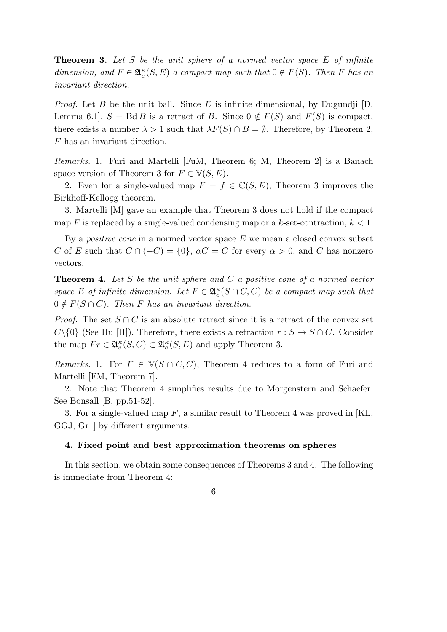**Theorem 3.** *Let S be the unit sphere of a normed vector space E of infinite dimension, and*  $F \in \mathfrak{A}_c^{\kappa}(S, E)$  *a compact map such that*  $0 \notin \overline{F(S)}$ *. Then F has an invariant direction.*

*Proof.* Let *B* be the unit ball. Since *E* is infinite dimensional, by Dugundji [D, Lemma 6.1,  $S = \text{Bd} B$  is a retract of *B*. Since  $0 \notin F(S)$  and  $F(S)$  is compact, there exists a number  $\lambda > 1$  such that  $\lambda F(S) \cap B = \emptyset$ . Therefore, by Theorem 2, *F* has an invariant direction.

*Remarks.* 1. Furi and Martelli [FuM, Theorem 6; M, Theorem 2] is a Banach space version of Theorem 3 for  $F \in V(S, E)$ .

2. Even for a single-valued map  $F = f \in \mathbb{C}(S, E)$ , Theorem 3 improves the Birkhoff-Kellogg theorem.

3. Martelli [M] gave an example that Theorem 3 does not hold if the compact map *F* is replaced by a single-valued condensing map or a *k*-set-contraction, *k <* 1.

By a *positive cone* in a normed vector space *E* we mean a closed convex subset *C* of *E* such that  $C \cap (-C) = \{0\}$ ,  $\alpha C = C$  for every  $\alpha > 0$ , and *C* has nonzero vectors.

**Theorem 4.** *Let S be the unit sphere and C a positive cone of a normed vector space E of infinite dimension. Let*  $F \in \mathfrak{A}_{c}^{\kappa}(S \cap C, C)$  *be a compact map such that*  $0 \notin \overline{F(S \cap C)}$ . Then *F* has an invariant direction.

*Proof.* The set  $S \cap C$  is an absolute retract since it is a retract of the convex set  $C\setminus\{0\}$  (See Hu [H]). Therefore, there exists a retraction  $r : S \to S \cap C$ . Consider the map  $Fr \in \mathfrak{A}_{c}^{\kappa}(S, C) \subset \mathfrak{A}_{c}^{\kappa}(S, E)$  and apply Theorem 3.

*Remarks.* 1. For  $F \in V(S \cap C, C)$ , Theorem 4 reduces to a form of Furi and Martelli [FM, Theorem 7].

2. Note that Theorem 4 simplifies results due to Morgenstern and Schaefer. See Bonsall [B, pp.51-52].

3. For a single-valued map *F*, a similar result to Theorem 4 was proved in [KL, GGJ, Gr1] by different arguments.

## **4. Fixed point and best approximation theorems on spheres**

In this section, we obtain some consequences of Theorems 3 and 4. The following is immediate from Theorem 4: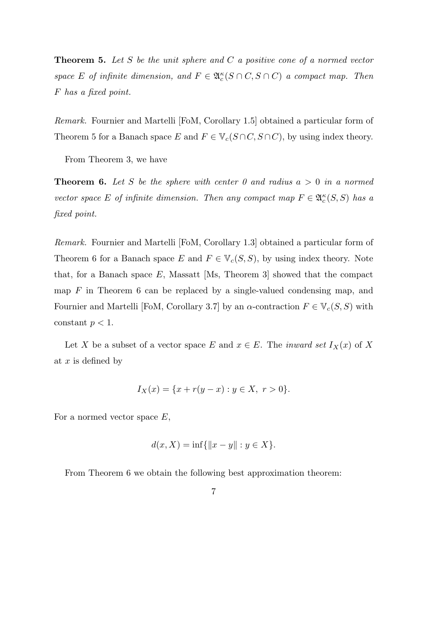**Theorem 5.** *Let S be the unit sphere and C a positive cone of a normed vector space E of infinite dimension, and*  $F \in \mathfrak{A}_{c}^{\kappa}(S \cap C, S \cap C)$  *a compact map. Then F has a fixed point.*

*Remark.* Fournier and Martelli [FoM, Corollary 1.5] obtained a particular form of Theorem 5 for a Banach space *E* and  $F \in \mathbb{V}_c(S \cap C, S \cap C)$ , by using index theory.

From Theorem 3, we have

**Theorem 6.** Let S be the sphere with center 0 and radius  $a > 0$  in a normed *vector space E of infinite dimension. Then any compact map*  $F \in \mathfrak{A}_{c}^{\kappa}(S, S)$  *has a fixed point.*

*Remark.* Fournier and Martelli [FoM, Corollary 1.3] obtained a particular form of Theorem 6 for a Banach space *E* and  $F \in V_c(S, S)$ , by using index theory. Note that, for a Banach space *E*, Massatt [Ms, Theorem 3] showed that the compact map *F* in Theorem 6 can be replaced by a single-valued condensing map, and Fournier and Martelli [FoM, Corollary 3.7] by an  $\alpha$ -contraction  $F \in V_c(S, S)$  with constant  $p < 1$ .

Let *X* be a subset of a vector space *E* and  $x \in E$ . The *inward set*  $I_X(x)$  of *X* at *x* is defined by

$$
I_X(x) = \{x + r(y - x) : y \in X, r > 0\}.
$$

For a normed vector space *E*,

$$
d(x, X) = \inf\{\|x - y\| : y \in X\}.
$$

From Theorem 6 we obtain the following best approximation theorem:

$$
\phantom{0}7
$$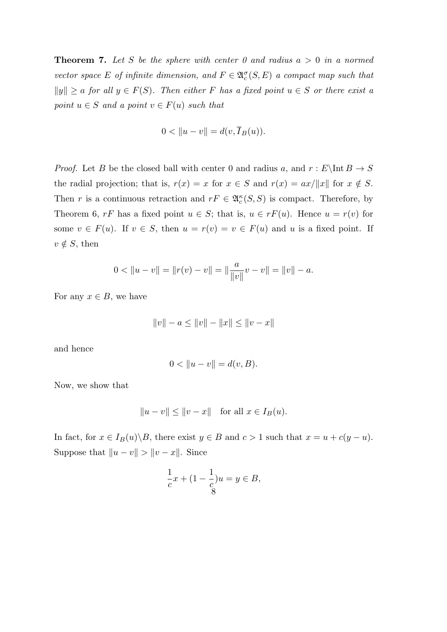**Theorem 7.** Let S be the sphere with center 0 and radius  $a > 0$  in a normed *vector space E of infinite dimension, and*  $F \in \mathfrak{A}_c^{\sigma}(S, E)$  *a compact map such that*  $||y|| \ge a$  *for all*  $y \in F(S)$ *. Then either F has a fixed point*  $u \in S$  *or there exist a point*  $u \in S$  *and a point*  $v \in F(u)$  *such that* 

$$
0 < ||u - v|| = d(v, \overline{I}_B(u)).
$$

*Proof.* Let *B* be the closed ball with center 0 and radius *a*, and  $r : E\ln B \to S$ the radial projection; that is,  $r(x) = x$  for  $x \in S$  and  $r(x) = ax/\|x\|$  for  $x \notin S$ . Then *r* is a continuous retraction and  $rF \in \mathfrak{A}_{c}^{\kappa}(S, S)$  is compact. Therefore, by Theorem 6,  $rF$  has a fixed point  $u \in S$ ; that is,  $u \in rF(u)$ . Hence  $u = r(v)$  for some  $v \in F(u)$ . If  $v \in S$ , then  $u = r(v) = v \in F(u)$  and  $u$  is a fixed point. If  $v \notin S$ , then

$$
0 < \|u - v\| = \|r(v) - v\| = \|\frac{a}{\|v\|}v - v\| = \|v\| - a.
$$

For any  $x \in B$ , we have

$$
||v|| - a \le ||v|| - ||x|| \le ||v - x||
$$

and hence

$$
0 < ||u - v|| = d(v, B).
$$

Now, we show that

$$
||u - v|| \le ||v - x|| \quad \text{for all } x \in I_B(u).
$$

In fact, for  $x \in I_B(u) \setminus B$ , there exist  $y \in B$  and  $c > 1$  such that  $x = u + c(y - u)$ . Suppose that  $||u - v|| > ||v - x||$ . Since

$$
\frac{1}{c}x + (1 - \frac{1}{c})u = y \in B,
$$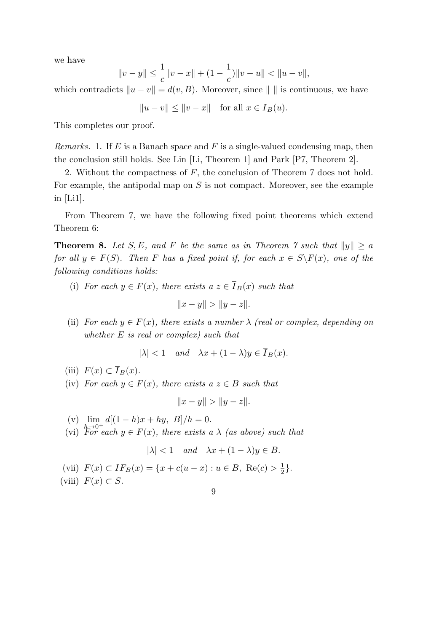we have

$$
||v - y|| \le \frac{1}{c}||v - x|| + (1 - \frac{1}{c})||v - u|| < ||u - v||,
$$

which contradicts  $||u - v|| = d(v, B)$ . Moreover, since  $|| \cdot ||$  is continuous, we have

$$
||u - v|| \le ||v - x|| \quad \text{for all } x \in \overline{I}_B(u).
$$

This completes our proof.

*Remarks.* 1. If *E* is a Banach space and *F* is a single-valued condensing map, then the conclusion still holds. See Lin [Li, Theorem 1] and Park [P7, Theorem 2].

2. Without the compactness of *F*, the conclusion of Theorem 7 does not hold. For example, the antipodal map on *S* is not compact. Moreover, see the example in [Li1].

From Theorem 7, we have the following fixed point theorems which extend Theorem 6:

**Theorem 8.** Let *S*, *E*, and *F* be the same as in Theorem 7 such that  $||y|| \ge a$ *for all*  $y \in F(S)$ *. Then F has a fixed point if, for each*  $x \in S \backslash F(x)$ *, one of the following conditions holds:*

(i) *For each*  $y \in F(x)$ *, there exists a*  $z \in \overline{I}_B(x)$  *such that* 

$$
||x - y|| > ||y - z||.
$$

(ii) *For each*  $y \in F(x)$ *, there exists a number*  $\lambda$  *(real or complex, depending on whether E is real or complex) such that*

$$
|\lambda| < 1 \quad and \quad \lambda x + (1 - \lambda)y \in \overline{I}_B(x).
$$

(iii)  $F(x) \subset \overline{I}_B(x)$ .

(iv) *For each*  $y \in F(x)$ *, there exists a*  $z \in B$  *such that* 

$$
||x - y|| > ||y - z||.
$$

 $(v)$   $\lim$  $d[(1-h)x + hy, B]/h = 0.$ 

 $h^{-1}_{\Gamma_{\rm c.m.}}$ (vi) For each  $y \in F(x)$ , there exists a  $\lambda$  (as above) such that

$$
|\lambda| < 1 \quad and \quad \lambda x + (1 - \lambda)y \in B.
$$

(vii) 
$$
F(x) \subset IF_B(x) = \{x + c(u - x) : u \in B, \text{ Re}(c) > \frac{1}{2}\}.
$$

(viii) 
$$
F(x) \subset S
$$
.

9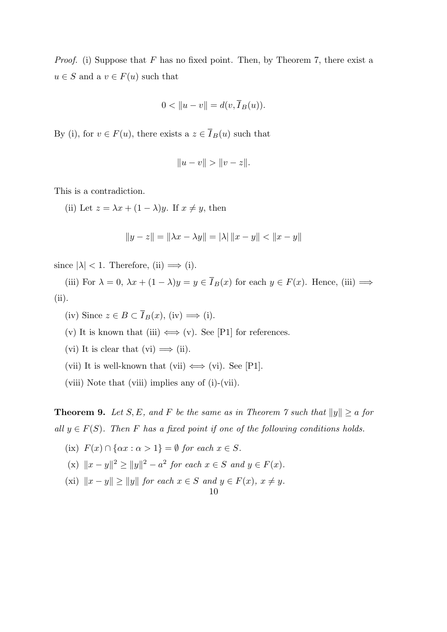*Proof.* (i) Suppose that *F* has no fixed point. Then, by Theorem 7, there exist a  $u \in S$  and a  $v \in F(u)$  such that

$$
0 < \|u - v\| = d(v, \overline{I}_B(u)).
$$

By (i), for  $v \in F(u)$ , there exists a  $z \in \overline{I}_B(u)$  such that

$$
||u - v|| > ||v - z||.
$$

This is a contradiction.

(ii) Let  $z = \lambda x + (1 - \lambda)y$ . If  $x \neq y$ , then

$$
||y - z|| = ||\lambda x - \lambda y|| = |\lambda| ||x - y|| < ||x - y||
$$

since  $|\lambda|$  < 1. Therefore, (ii)  $\implies$  (i).

(iii) For  $\lambda = 0$ ,  $\lambda x + (1 - \lambda)y = y \in \overline{I}_B(x)$  for each  $y \in F(x)$ . Hence, (iii)  $\implies$ (ii).

(iv) Since  $z \in B \subset \overline{I}_B(x)$ , (iv)  $\Longrightarrow$  (i).

- (v) It is known that (iii)  $\Longleftrightarrow$  (v). See [P1] for references.
- (vi) It is clear that (vi)  $\implies$  (ii).
- (vii) It is well-known that (vii)  $\Longleftrightarrow$  (vi). See [P1].
- (viii) Note that (viii) implies any of (i)-(vii).

**Theorem 9.** *Let S, E, and F be the same as in Theorem 7 such that*  $||y|| \ge a$  *for all*  $y \in F(S)$ . Then *F* has a fixed point if one of the following conditions holds.

(ix) 
$$
F(x) \cap \{ \alpha x : \alpha > 1 \} = \emptyset
$$
 for each  $x \in S$ .

- $(|x| + |x y||^2 \ge ||y||^2 a^2$  *for each*  $x \in S$  *and*  $y \in F(x)$ *.*
- $(xi)$   $||x y|| \ge ||y||$  *for each*  $x \in S$  *and*  $y \in F(x)$ *,*  $x \neq y$ *.*

$$
10\quad
$$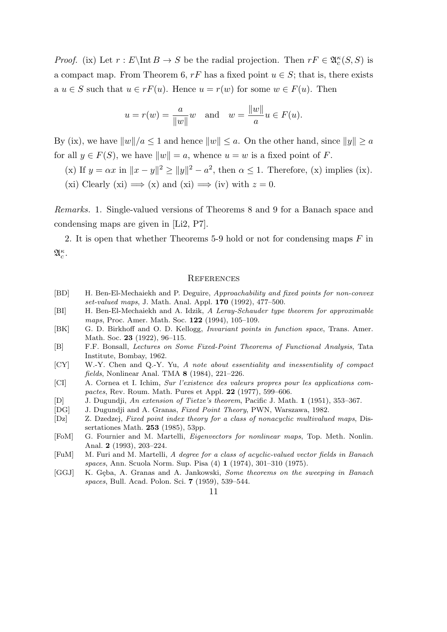*Proof.* (ix) Let  $r : E\backslash \text{Int } B \to S$  be the radial projection. Then  $rF \in \mathfrak{A}_{c}^{\kappa}(S, S)$  is a compact map. From Theorem 6,  $rF$  has a fixed point  $u \in S$ ; that is, there exists a  $u \in S$  such that  $u \in rF(u)$ . Hence  $u = r(w)$  for some  $w \in F(u)$ . Then

$$
u = r(w) = \frac{a}{\|w\|} w
$$
 and  $w = \frac{\|w\|}{a} u \in F(u)$ .

By (ix), we have  $||w||/a \leq 1$  and hence  $||w|| \leq a$ . On the other hand, since  $||y|| \geq a$ for all  $y \in F(S)$ , we have  $||w|| = a$ , whence  $u = w$  is a fixed point of *F*.

(x) If  $y = \alpha x$  in  $||x - y||^2 \ge ||y||^2 - a^2$ , then  $\alpha \le 1$ . Therefore, (x) implies (ix).

(xi) Clearly (xi)  $\implies$  (x) and (xi)  $\implies$  (iv) with  $z = 0$ .

*Remarks.* 1. Single-valued versions of Theorems 8 and 9 for a Banach space and condensing maps are given in [Li2, P7].

2. It is open that whether Theorems 5-9 hold or not for condensing maps *F* in A *κ c* .

#### **REFERENCES**

- [BD] H. Ben-El-Mechaiekh and P. Deguire, *Approachability and fixed points for non-convex set-valued maps*, J. Math. Anal. Appl. **170** (1992), 477–500.
- [BI] H. Ben-El-Mechaiekh and A. Idzik, *A Leray-Schauder type theorem for approximable maps*, Proc. Amer. Math. Soc. **122** (1994), 105–109.
- [BK] G. D. Birkhoff and O. D. Kellogg, *Invariant points in function space*, Trans. Amer. Math. Soc. **23** (1922), 96–115.
- [B] F.F. Bonsall, *Lectures on Some Fixed-Point Theorems of Functional Analysis*, Tata Institute, Bombay, 1962.
- [CY] W.-Y. Chen and Q.-Y. Yu, *A note about essentiality and inessentiality of compact fields*, Nonlinear Anal. TMA **8** (1984), 221–226.
- [CI] A. Cornea et I. Ichim, *Sur l'existence des valeurs propres pour les applications compactes*, Rev. Roum. Math. Pures et Appl. **22** (1977), 599–606.
- [D] J. Dugundji, *An extension of Tietze's theorem*, Pacific J. Math. **1** (1951), 353–367.
- [DG] J. Dugundji and A. Granas, *Fixed Point Theory*, PWN, Warszawa, 1982.
- [Dz] Z. Dzedzej, *Fixed point index theory for a class of nonacyclic multivalued maps*, Dissertationes Math. **253** (1985), 53pp.
- [FoM] G. Fournier and M. Martelli, *Eigenvectors for nonlinear maps*, Top. Meth. Nonlin. Anal. **2** (1993), 203–224.
- [FuM] M. Furi and M. Martelli, *A degree for a class of acyclic-valued vector fields in Banach spaces*, Ann. Scuola Norm. Sup. Pisa (4) **1** (1974), 301–310 (1975).
- [GGJ] K. Gęba, A. Granas and A. Jankowski, *Some theorems on the sweeping in Banach spaces*, Bull. Acad. Polon. Sci. **7** (1959), 539–544.

11